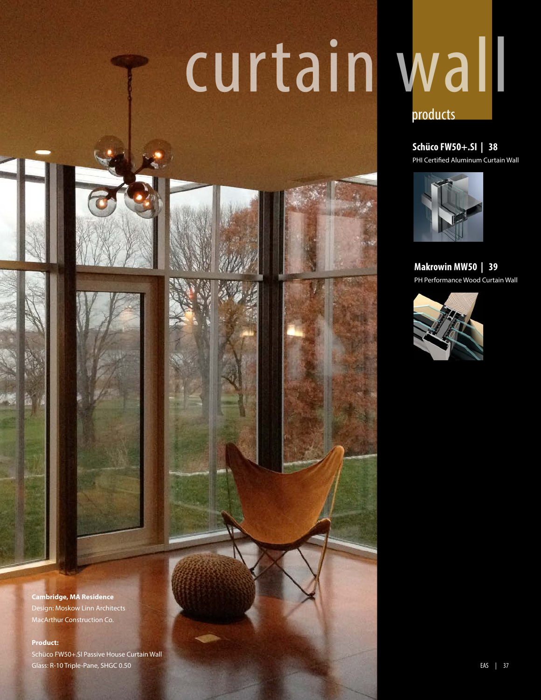# curtain wall



**Schüco FW50+.SI | 38**  PHI Certified Aluminum Curtain Wall



**Makrowin MW50 | 39**  PH Performance Wood Curtain Wall



**Cambridge, MA Residence** Design: Moskow Linn Architects MacArthur Construction Co.

### **Product:**

Schüco FW50+.SI Passive House Curtain Wall Glass: R-10 Triple-Pane, SHGC 0.50 **EAS** | 37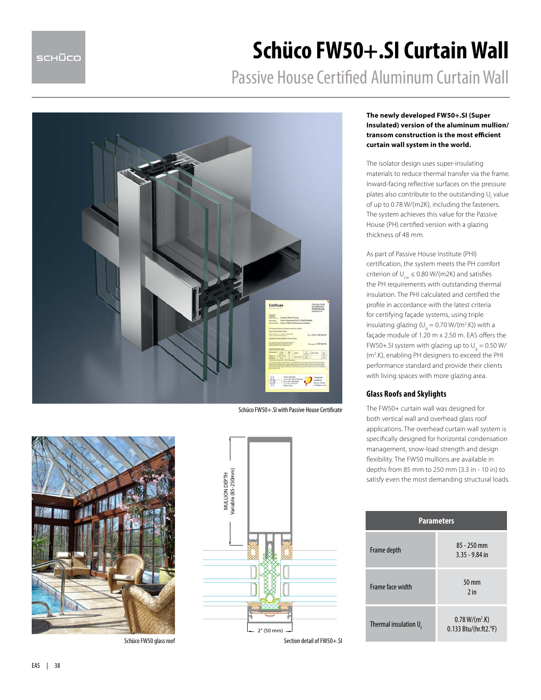# **Schüco FW50+.SI Curtain Wall**

Passive House Certified Aluminum Curtain Wall



Schüco FW50+.SI with Passive House Certificate





### **The newly developed FW50+.SI (Super Insulated) version of the aluminum mullion/ transom construction is the most efficient curtain wall system in the world.**

The isolator design uses super-insulating materials to reduce thermal transfer via the frame. Inward-facing reflective surfaces on the pressure plates also contribute to the outstanding  $\mathsf{U}_\mathsf{f}$  value of up to 0.78 W/(m2K), including the fasteners. The system achieves this value for the Passive House (PH) certified version with a glazing thickness of 48 mm.

As part of Passive House Institute (PHI) certification, the system meets the PH comfort criterion of  $U_{\text{cur}} \leq 0.80 \text{ W/(m2K)}$  and satisfies the PH requirements with outstanding thermal insulation. The PHI calculated and certified the profile in accordance with the latest criteria for certifying façade systems, using triple insulating glazing ( $U_g = 0.70$  W/(m<sup>2</sup>.K)) with a façade module of 1.20 m x 2.50 m. EAS offers the FW50+.SI system with glazing up to  $U_g = 0.50$  W/ (m2 .K), enabling PH designers to exceed the PHI performance standard and provide their clients with living spaces with more glazing area.

### **Glass Roofs and Skylights**

The FW50+ curtain wall was designed for both vertical wall and overhead glass roof applications. The overhead curtain wall system is specifically designed for horizontal condensation management, snow-load strength and design flexibility. The FW50 mullions are available in depths from 85 mm to 250 mm (3.3 in - 10 in) to satisfy even the most demanding structural loads.

| <b>Parameters</b>                 |                                             |
|-----------------------------------|---------------------------------------------|
| Frame depth                       | $85 - 250$ mm<br>$3.35 - 9.84$ in           |
| Frame face width                  | $50 \text{ mm}$<br>$2$ in                   |
| Thermal insulation $U_{\epsilon}$ | $0.78 W/(m^2)$ .K)<br>0.133 Btu/(hr.ft2.°F) |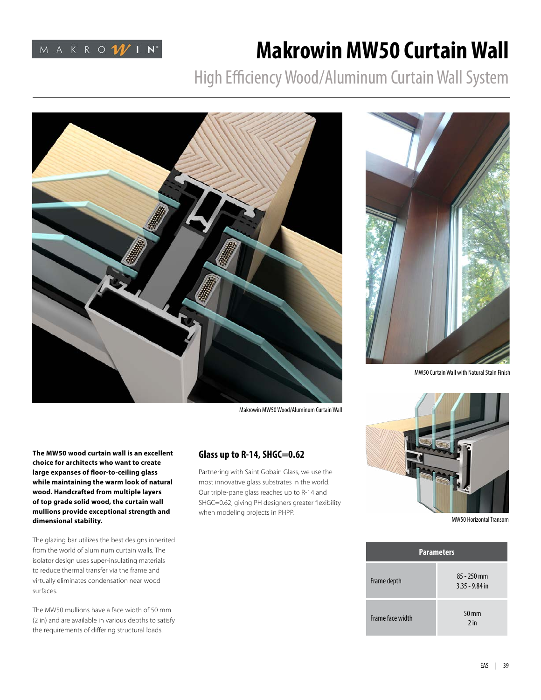

## **Makrowin MW50 Curtain Wall**

High Efficiency Wood/Aluminum Curtain Wall System



Makrowin MW50 Wood/Aluminum Curtain Wall

**The MW50 wood curtain wall is an excellent choice for architects who want to create large expanses of floor-to-ceiling glass while maintaining the warm look of natural wood. Handcrafted from multiple layers of top grade solid wood, the curtain wall mullions provide exceptional strength and dimensional stability.**

The glazing bar utilizes the best designs inherited from the world of aluminum curtain walls. The isolator design uses super-insulating materials to reduce thermal transfer via the frame and virtually eliminates condensation near wood surfaces.

The MW50 mullions have a face width of 50 mm (2 in) and are available in various depths to satisfy the requirements of differing structural loads.

### **Glass up to R-14, SHGC=0.62**

Partnering with Saint Gobain Glass, we use the most innovative glass substrates in the world. Our triple-pane glass reaches up to R-14 and SHGC=0.62, giving PH designers greater flexibility when modeling projects in PHPP.



MW50 Curtain Wall with Natural Stain Finish



MW50 Horizontal Transom

| <b>Parameters</b> |                                   |
|-------------------|-----------------------------------|
| Frame depth       | $85 - 250$ mm<br>$3.35 - 9.84$ in |
| Frame face width  | 50 mm<br>$2$ in                   |